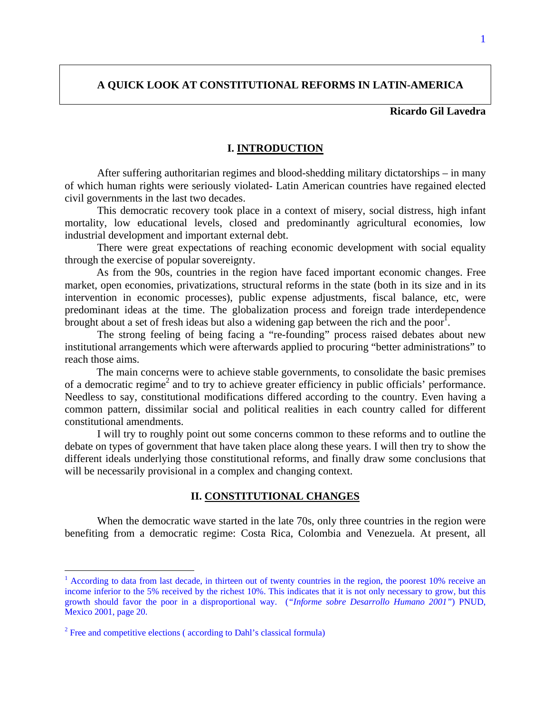# **A QUICK LOOK AT CONSTITUTIONAL REFORMS IN LATIN-AMERICA**

# **Ricardo Gil Lavedra**

# **I. INTRODUCTION**

After suffering authoritarian regimes and blood-shedding military dictatorships – in many of which human rights were seriously violated- Latin American countries have regained elected civil governments in the last two decades.

This democratic recovery took place in a context of misery, social distress, high infant mortality, low educational levels, closed and predominantly agricultural economies, low industrial development and important external debt.

There were great expectations of reaching economic development with social equality through the exercise of popular sovereignty.

 As from the 90s, countries in the region have faced important economic changes. Free market, open economies, privatizations, structural reforms in the state (both in its size and in its intervention in economic processes), public expense adjustments, fiscal balance, etc, were predominant ideas at the time. The globalization process and foreign trade interdependence brought about a set of fresh ideas but also a widening gap between the rich and the poor<sup>1</sup>.

The strong feeling of being facing a "re-founding" process raised debates about new institutional arrangements which were afterwards applied to procuring "better administrations" to reach those aims.

 The main concerns were to achieve stable governments, to consolidate the basic premises of a democratic regime<sup>2</sup> and to try to achieve greater efficiency in public officials' performance. Needless to say, constitutional modifications differed according to the country. Even having a common pattern, dissimilar social and political realities in each country called for different constitutional amendments.

I will try to roughly point out some concerns common to these reforms and to outline the debate on types of government that have taken place along these years. I will then try to show the different ideals underlying those constitutional reforms, and finally draw some conclusions that will be necessarily provisional in a complex and changing context.

# **II. CONSTITUTIONAL CHANGES**

When the democratic wave started in the late 70s, only three countries in the region were benefiting from a democratic regime: Costa Rica, Colombia and Venezuela. At present, all

<sup>&</sup>lt;sup>1</sup> According to data from last decade, in thirteen out of twenty countries in the region, the poorest 10% receive an income inferior to the 5% received by the richest 10%. This indicates that it is not only necessary to grow, but this growth should favor the poor in a disproportional way. (*"Informe sobre Desarrollo Humano 2001"*) PNUD, Mexico 2001, page 20.

 $2^2$  Free and competitive elections (according to Dahl's classical formula)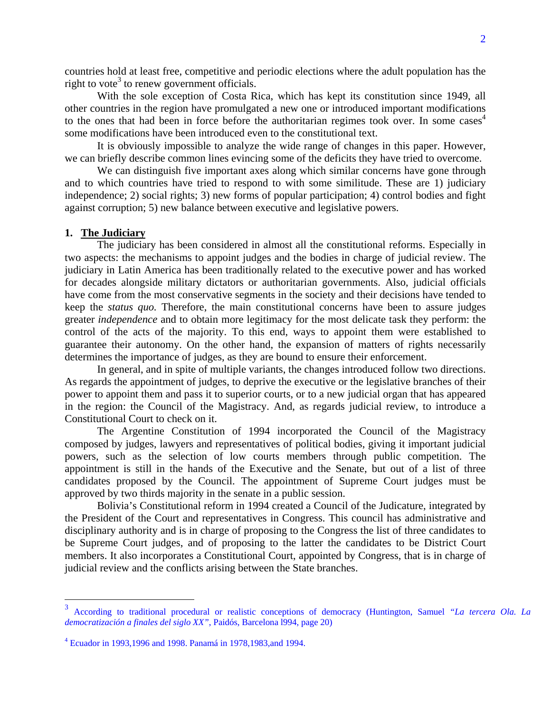countries hold at least free, competitive and periodic elections where the adult population has the right to vote<sup>3</sup> to renew government officials.

With the sole exception of Costa Rica, which has kept its constitution since 1949, all other countries in the region have promulgated a new one or introduced important modifications to the ones that had been in force before the authoritarian regimes took over. In some cases<sup>4</sup> some modifications have been introduced even to the constitutional text.

It is obviously impossible to analyze the wide range of changes in this paper. However, we can briefly describe common lines evincing some of the deficits they have tried to overcome.

We can distinguish five important axes along which similar concerns have gone through and to which countries have tried to respond to with some similitude. These are 1) judiciary independence; 2) social rights; 3) new forms of popular participation; 4) control bodies and fight against corruption; 5) new balance between executive and legislative powers.

#### **1. The Judiciary**

 $\overline{a}$ 

The judiciary has been considered in almost all the constitutional reforms. Especially in two aspects: the mechanisms to appoint judges and the bodies in charge of judicial review. The judiciary in Latin America has been traditionally related to the executive power and has worked for decades alongside military dictators or authoritarian governments. Also, judicial officials have come from the most conservative segments in the society and their decisions have tended to keep the *status quo.* Therefore, the main constitutional concerns have been to assure judges greater *independence* and to obtain more legitimacy for the most delicate task they perform: the control of the acts of the majority. To this end, ways to appoint them were established to guarantee their autonomy. On the other hand, the expansion of matters of rights necessarily determines the importance of judges, as they are bound to ensure their enforcement.

In general, and in spite of multiple variants, the changes introduced follow two directions. As regards the appointment of judges, to deprive the executive or the legislative branches of their power to appoint them and pass it to superior courts, or to a new judicial organ that has appeared in the region: the Council of the Magistracy. And, as regards judicial review, to introduce a Constitutional Court to check on it.

The Argentine Constitution of 1994 incorporated the Council of the Magistracy composed by judges, lawyers and representatives of political bodies, giving it important judicial powers, such as the selection of low courts members through public competition. The appointment is still in the hands of the Executive and the Senate, but out of a list of three candidates proposed by the Council. The appointment of Supreme Court judges must be approved by two thirds majority in the senate in a public session.

Bolivia's Constitutional reform in 1994 created a Council of the Judicature, integrated by the President of the Court and representatives in Congress. This council has administrative and disciplinary authority and is in charge of proposing to the Congress the list of three candidates to be Supreme Court judges, and of proposing to the latter the candidates to be District Court members. It also incorporates a Constitutional Court, appointed by Congress, that is in charge of judicial review and the conflicts arising between the State branches.

<sup>3</sup> According to traditional procedural or realistic conceptions of democracy (Huntington, Samuel *"La tercera Ola. La democratización a finales del siglo XX"*, Paidós, Barcelona l994, page 20)

<sup>4</sup> Ecuador in 1993,1996 and 1998. Panamá in 1978,1983,and 1994.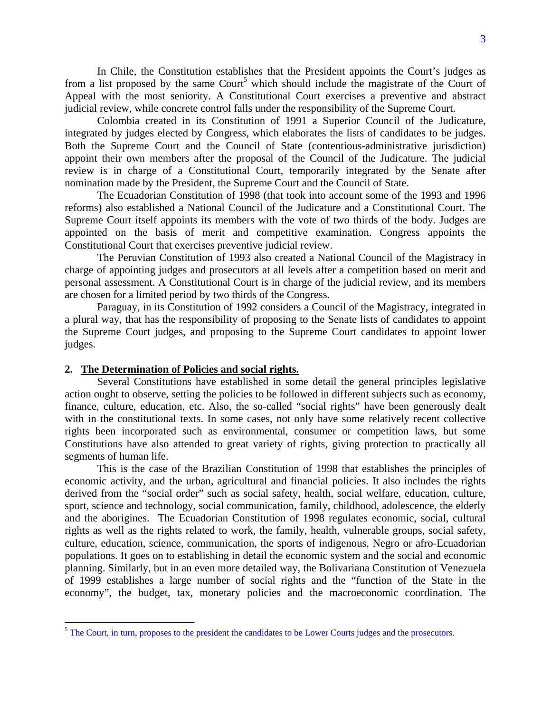In Chile, the Constitution establishes that the President appoints the Court's judges as from a list proposed by the same Court<sup>5</sup> which should include the magistrate of the Court of Appeal with the most seniority. A Constitutional Court exercises a preventive and abstract judicial review, while concrete control falls under the responsibility of the Supreme Court.

Colombia created in its Constitution of 1991 a Superior Council of the Judicature, integrated by judges elected by Congress, which elaborates the lists of candidates to be judges. Both the Supreme Court and the Council of State (contentious-administrative jurisdiction) appoint their own members after the proposal of the Council of the Judicature. The judicial review is in charge of a Constitutional Court, temporarily integrated by the Senate after nomination made by the President, the Supreme Court and the Council of State.

The Ecuadorian Constitution of 1998 (that took into account some of the 1993 and 1996 reforms) also established a National Council of the Judicature and a Constitutional Court. The Supreme Court itself appoints its members with the vote of two thirds of the body. Judges are appointed on the basis of merit and competitive examination. Congress appoints the Constitutional Court that exercises preventive judicial review.

The Peruvian Constitution of 1993 also created a National Council of the Magistracy in charge of appointing judges and prosecutors at all levels after a competition based on merit and personal assessment. A Constitutional Court is in charge of the judicial review, and its members are chosen for a limited period by two thirds of the Congress.

Paraguay, in its Constitution of 1992 considers a Council of the Magistracy, integrated in a plural way, that has the responsibility of proposing to the Senate lists of candidates to appoint the Supreme Court judges, and proposing to the Supreme Court candidates to appoint lower judges.

#### **2. The Determination of Policies and social rights.**

Several Constitutions have established in some detail the general principles legislative action ought to observe, setting the policies to be followed in different subjects such as economy, finance, culture, education, etc. Also, the so-called "social rights" have been generously dealt with in the constitutional texts. In some cases, not only have some relatively recent collective rights been incorporated such as environmental, consumer or competition laws, but some Constitutions have also attended to great variety of rights, giving protection to practically all segments of human life.

This is the case of the Brazilian Constitution of 1998 that establishes the principles of economic activity, and the urban, agricultural and financial policies. It also includes the rights derived from the "social order" such as social safety, health, social welfare, education, culture, sport, science and technology, social communication, family, childhood, adolescence, the elderly and the aborigines. The Ecuadorian Constitution of 1998 regulates economic, social, cultural rights as well as the rights related to work, the family, health, vulnerable groups, social safety, culture, education, science, communication, the sports of indigenous, Negro or afro-Ecuadorian populations. It goes on to establishing in detail the economic system and the social and economic planning. Similarly, but in an even more detailed way, the Bolivariana Constitution of Venezuela of 1999 establishes a large number of social rights and the "function of the State in the economy", the budget, tax, monetary policies and the macroeconomic coordination. The

<sup>&</sup>lt;sup>5</sup> The Court, in turn, proposes to the president the candidates to be Lower Courts judges and the prosecutors.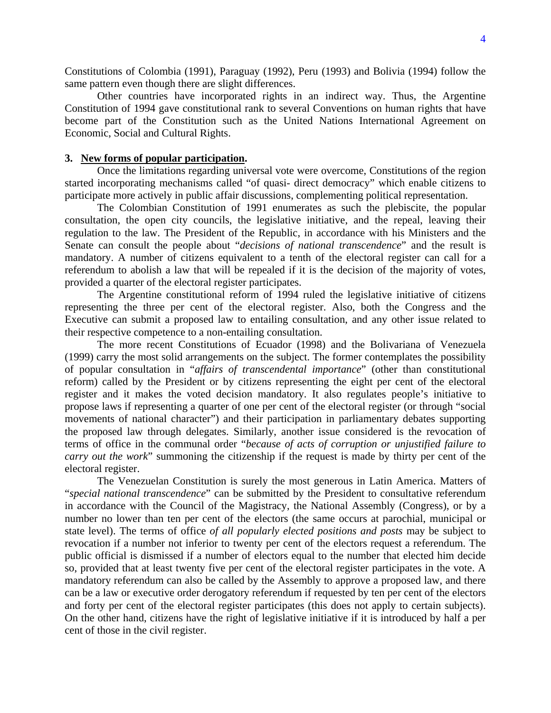Constitutions of Colombia (1991), Paraguay (1992), Peru (1993) and Bolivia (1994) follow the same pattern even though there are slight differences.

Other countries have incorporated rights in an indirect way. Thus, the Argentine Constitution of 1994 gave constitutional rank to several Conventions on human rights that have become part of the Constitution such as the United Nations International Agreement on Economic, Social and Cultural Rights.

#### **3. New forms of popular participation.**

Once the limitations regarding universal vote were overcome, Constitutions of the region started incorporating mechanisms called "of quasi- direct democracy" which enable citizens to participate more actively in public affair discussions, complementing political representation.

The Colombian Constitution of 1991 enumerates as such the plebiscite, the popular consultation, the open city councils, the legislative initiative, and the repeal, leaving their regulation to the law. The President of the Republic, in accordance with his Ministers and the Senate can consult the people about "*decisions of national transcendence*" and the result is mandatory. A number of citizens equivalent to a tenth of the electoral register can call for a referendum to abolish a law that will be repealed if it is the decision of the majority of votes, provided a quarter of the electoral register participates.

The Argentine constitutional reform of 1994 ruled the legislative initiative of citizens representing the three per cent of the electoral register. Also, both the Congress and the Executive can submit a proposed law to entailing consultation, and any other issue related to their respective competence to a non-entailing consultation.

The more recent Constitutions of Ecuador (1998) and the Bolivariana of Venezuela (1999) carry the most solid arrangements on the subject. The former contemplates the possibility of popular consultation in "*affairs of transcendental importance*" (other than constitutional reform) called by the President or by citizens representing the eight per cent of the electoral register and it makes the voted decision mandatory. It also regulates people's initiative to propose laws if representing a quarter of one per cent of the electoral register (or through "social movements of national character") and their participation in parliamentary debates supporting the proposed law through delegates. Similarly, another issue considered is the revocation of terms of office in the communal order "*because of acts of corruption or unjustified failure to carry out the work*" summoning the citizenship if the request is made by thirty per cent of the electoral register.

The Venezuelan Constitution is surely the most generous in Latin America. Matters of "*special national transcendence*" can be submitted by the President to consultative referendum in accordance with the Council of the Magistracy, the National Assembly (Congress), or by a number no lower than ten per cent of the electors (the same occurs at parochial, municipal or state level). The terms of office *of all popularly elected positions and posts* may be subject to revocation if a number not inferior to twenty per cent of the electors request a referendum. The public official is dismissed if a number of electors equal to the number that elected him decide so, provided that at least twenty five per cent of the electoral register participates in the vote. A mandatory referendum can also be called by the Assembly to approve a proposed law, and there can be a law or executive order derogatory referendum if requested by ten per cent of the electors and forty per cent of the electoral register participates (this does not apply to certain subjects). On the other hand, citizens have the right of legislative initiative if it is introduced by half a per cent of those in the civil register.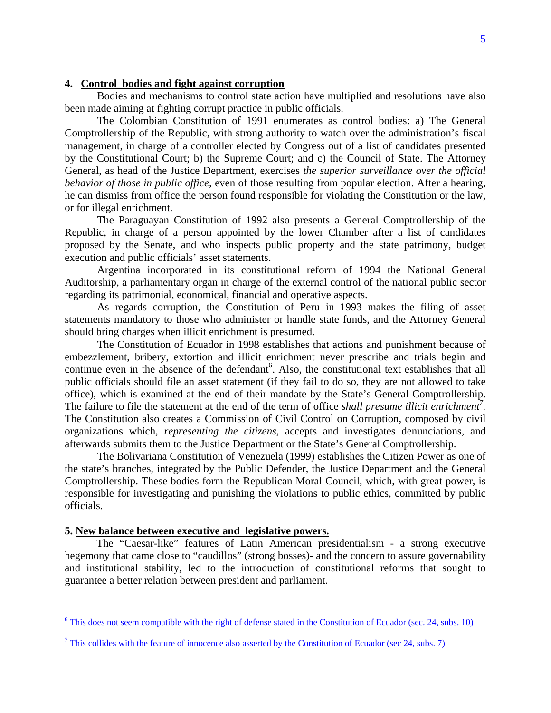# **4. Control bodies and fight against corruption**

Bodies and mechanisms to control state action have multiplied and resolutions have also been made aiming at fighting corrupt practice in public officials.

The Colombian Constitution of 1991 enumerates as control bodies: a) The General Comptrollership of the Republic, with strong authority to watch over the administration's fiscal management, in charge of a controller elected by Congress out of a list of candidates presented by the Constitutional Court; b) the Supreme Court; and c) the Council of State. The Attorney General, as head of the Justice Department, exercises *the superior surveillance over the official behavior of those in public office,* even of those resulting from popular election. After a hearing, he can dismiss from office the person found responsible for violating the Constitution or the law, or for illegal enrichment.

The Paraguayan Constitution of 1992 also presents a General Comptrollership of the Republic, in charge of a person appointed by the lower Chamber after a list of candidates proposed by the Senate, and who inspects public property and the state patrimony, budget execution and public officials' asset statements.

Argentina incorporated in its constitutional reform of 1994 the National General Auditorship, a parliamentary organ in charge of the external control of the national public sector regarding its patrimonial, economical, financial and operative aspects.

As regards corruption, the Constitution of Peru in 1993 makes the filing of asset statements mandatory to those who administer or handle state funds, and the Attorney General should bring charges when illicit enrichment is presumed.

The Constitution of Ecuador in 1998 establishes that actions and punishment because of embezzlement, bribery, extortion and illicit enrichment never prescribe and trials begin and continue even in the absence of the defendant<sup>6</sup>. Also, the constitutional text establishes that all public officials should file an asset statement (if they fail to do so, they are not allowed to take office), which is examined at the end of their mandate by the State's General Comptrollership. The failure to file the statement at the end of the term of office *shall presume illicit enrichment7 .* The Constitution also creates a Commission of Civil Control on Corruption, composed by civil organizations which, *representing the citizens*, accepts and investigates denunciations, and afterwards submits them to the Justice Department or the State's General Comptrollership.

The Bolivariana Constitution of Venezuela (1999) establishes the Citizen Power as one of the state's branches, integrated by the Public Defender, the Justice Department and the General Comptrollership. These bodies form the Republican Moral Council, which, with great power, is responsible for investigating and punishing the violations to public ethics, committed by public officials.

# **5. New balance between executive and legislative powers.**

 $\overline{a}$ 

 The "Caesar-like" features of Latin American presidentialism - a strong executive hegemony that came close to "caudillos" (strong bosses)- and the concern to assure governability and institutional stability, led to the introduction of constitutional reforms that sought to guarantee a better relation between president and parliament.

<sup>&</sup>lt;sup>6</sup> This does not seem compatible with the right of defense stated in the Constitution of Ecuador (sec. 24, subs. 10)

<sup>&</sup>lt;sup>7</sup> This collides with the feature of innocence also asserted by the Constitution of Ecuador (sec 24, subs. 7)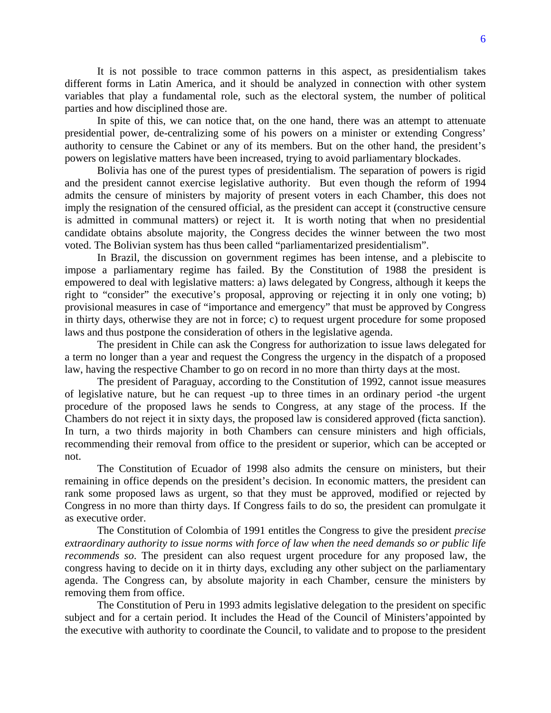It is not possible to trace common patterns in this aspect, as presidentialism takes different forms in Latin America, and it should be analyzed in connection with other system variables that play a fundamental role, such as the electoral system, the number of political parties and how disciplined those are.

In spite of this, we can notice that, on the one hand, there was an attempt to attenuate presidential power, de-centralizing some of his powers on a minister or extending Congress' authority to censure the Cabinet or any of its members. But on the other hand, the president's powers on legislative matters have been increased, trying to avoid parliamentary blockades.

Bolivia has one of the purest types of presidentialism. The separation of powers is rigid and the president cannot exercise legislative authority. But even though the reform of 1994 admits the censure of ministers by majority of present voters in each Chamber, this does not imply the resignation of the censured official, as the president can accept it (constructive censure is admitted in communal matters) or reject it. It is worth noting that when no presidential candidate obtains absolute majority, the Congress decides the winner between the two most voted. The Bolivian system has thus been called "parliamentarized presidentialism".

In Brazil, the discussion on government regimes has been intense, and a plebiscite to impose a parliamentary regime has failed. By the Constitution of 1988 the president is empowered to deal with legislative matters: a) laws delegated by Congress, although it keeps the right to "consider" the executive's proposal, approving or rejecting it in only one voting; b) provisional measures in case of "importance and emergency" that must be approved by Congress in thirty days, otherwise they are not in force; c) to request urgent procedure for some proposed laws and thus postpone the consideration of others in the legislative agenda.

The president in Chile can ask the Congress for authorization to issue laws delegated for a term no longer than a year and request the Congress the urgency in the dispatch of a proposed law, having the respective Chamber to go on record in no more than thirty days at the most.

The president of Paraguay, according to the Constitution of 1992, cannot issue measures of legislative nature, but he can request -up to three times in an ordinary period -the urgent procedure of the proposed laws he sends to Congress, at any stage of the process. If the Chambers do not reject it in sixty days, the proposed law is considered approved (ficta sanction). In turn, a two thirds majority in both Chambers can censure ministers and high officials, recommending their removal from office to the president or superior, which can be accepted or not.

The Constitution of Ecuador of 1998 also admits the censure on ministers, but their remaining in office depends on the president's decision. In economic matters, the president can rank some proposed laws as urgent, so that they must be approved, modified or rejected by Congress in no more than thirty days. If Congress fails to do so, the president can promulgate it as executive order.

The Constitution of Colombia of 1991 entitles the Congress to give the president *precise extraordinary authority to issue norms with force of law when the need demands so or public life recommends so*. The president can also request urgent procedure for any proposed law, the congress having to decide on it in thirty days, excluding any other subject on the parliamentary agenda. The Congress can, by absolute majority in each Chamber, censure the ministers by removing them from office.

The Constitution of Peru in 1993 admits legislative delegation to the president on specific subject and for a certain period. It includes the Head of the Council of Ministers'appointed by the executive with authority to coordinate the Council, to validate and to propose to the president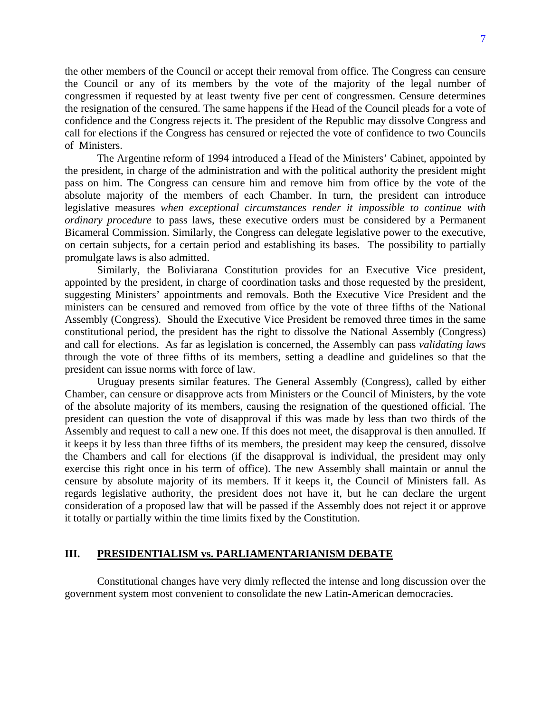the other members of the Council or accept their removal from office. The Congress can censure the Council or any of its members by the vote of the majority of the legal number of congressmen if requested by at least twenty five per cent of congressmen. Censure determines the resignation of the censured. The same happens if the Head of the Council pleads for a vote of confidence and the Congress rejects it. The president of the Republic may dissolve Congress and call for elections if the Congress has censured or rejected the vote of confidence to two Councils of Ministers.

The Argentine reform of 1994 introduced a Head of the Ministers' Cabinet, appointed by the president, in charge of the administration and with the political authority the president might pass on him. The Congress can censure him and remove him from office by the vote of the absolute majority of the members of each Chamber. In turn, the president can introduce legislative measures *when exceptional circumstances render it impossible to continue with ordinary procedure* to pass laws, these executive orders must be considered by a Permanent Bicameral Commission. Similarly, the Congress can delegate legislative power to the executive, on certain subjects, for a certain period and establishing its bases. The possibility to partially promulgate laws is also admitted.

Similarly, the Boliviarana Constitution provides for an Executive Vice president, appointed by the president, in charge of coordination tasks and those requested by the president, suggesting Ministers' appointments and removals. Both the Executive Vice President and the ministers can be censured and removed from office by the vote of three fifths of the National Assembly (Congress). Should the Executive Vice President be removed three times in the same constitutional period, the president has the right to dissolve the National Assembly (Congress) and call for elections. As far as legislation is concerned, the Assembly can pass *validating laws*  through the vote of three fifths of its members, setting a deadline and guidelines so that the president can issue norms with force of law.

Uruguay presents similar features. The General Assembly (Congress), called by either Chamber, can censure or disapprove acts from Ministers or the Council of Ministers, by the vote of the absolute majority of its members, causing the resignation of the questioned official. The president can question the vote of disapproval if this was made by less than two thirds of the Assembly and request to call a new one. If this does not meet, the disapproval is then annulled. If it keeps it by less than three fifths of its members, the president may keep the censured, dissolve the Chambers and call for elections (if the disapproval is individual, the president may only exercise this right once in his term of office). The new Assembly shall maintain or annul the censure by absolute majority of its members. If it keeps it, the Council of Ministers fall. As regards legislative authority, the president does not have it, but he can declare the urgent consideration of a proposed law that will be passed if the Assembly does not reject it or approve it totally or partially within the time limits fixed by the Constitution.

# **III. PRESIDENTIALISM vs. PARLIAMENTARIANISM DEBATE**

Constitutional changes have very dimly reflected the intense and long discussion over the government system most convenient to consolidate the new Latin-American democracies.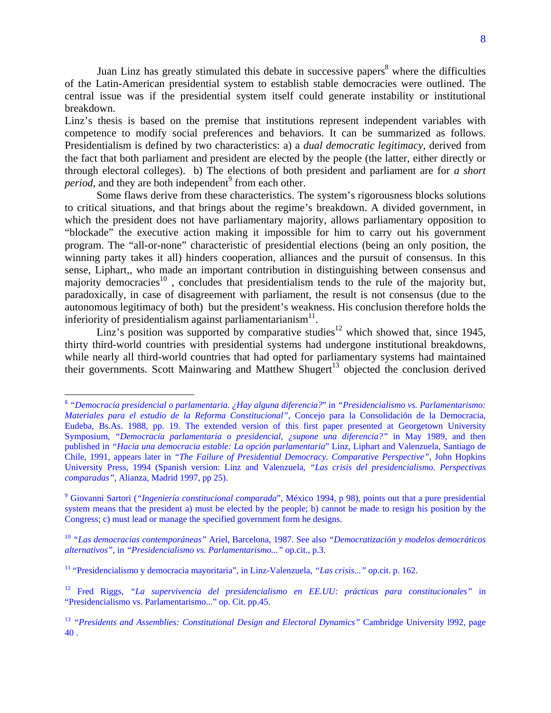Juan Linz has greatly stimulated this debate in successive papers<sup>8</sup> where the difficulties of the Latin-American presidential system to establish stable democracies were outlined. The central issue was if the presidential system itself could generate instability or institutional breakdown.

Linz's thesis is based on the premise that institutions represent independent variables with competence to modify social preferences and behaviors. It can be summarized as follows. Presidentialism is defined by two characteristics: a) a *dual democratic legitimacy*, derived from the fact that both parliament and president are elected by the people (the latter, either directly or through electoral colleges). b) The elections of both president and parliament are for *a short*  period, and they are both independent<sup>9</sup> from each other.

 Some flaws derive from these characteristics. The system's rigorousness blocks solutions to critical situations, and that brings about the regime's breakdown. A divided government, in which the president does not have parliamentary majority, allows parliamentary opposition to "blockade" the executive action making it impossible for him to carry out his government program. The "all-or-none" characteristic of presidential elections (being an only position, the winning party takes it all) hinders cooperation, alliances and the pursuit of consensus. In this sense, Liphart,, who made an important contribution in distinguishing between consensus and majority democracies<sup>10</sup>, concludes that presidentialism tends to the rule of the majority but, paradoxically, in case of disagreement with parliament, the result is not consensus (due to the autonomous legitimacy of both) but the president's weakness. His conclusion therefore holds the inferiority of presidentialism against parliamentarianism $11$ .

Linz's position was supported by comparative studies<sup>12</sup> which showed that, since 1945, thirty third-world countries with presidential systems had undergone institutional breakdowns, while nearly all third-world countries that had opted for parliamentary systems had maintained their governments. Scott Mainwaring and Matthew Shugert<sup>13</sup> objected the conclusion derived

<sup>8</sup> *"Democracia presidencial o parlamentaria. ¿Hay alguna diferencia?*" in *"Presidencialismo vs. Parlamentarismo: Materiales para el estudio de la Reforma Constitucional"*, Concejo para la Consolidación de la Democracia, Eudeba, Bs.As. 1988, pp. 19. The extended version of this first paper presented at Georgetown University Symposium, *"Democracia parlamentaria o presidencial, ¿supone una diferencia?"* in May 1989, and then published in *"Hacia una democracia estable: La opción parlamentaria*" Linz, Liphart and Valenzuela, Santiago de Chile, 1991, appears later in *"The Failure of Presidential Democracy. Comparative Perspective"*, John Hopkins University Press, 1994 (Spanish version: Linz and Valenzuela, *"Las crisis del presidencialismo. Perspectivas comparadas"*, Alianza, Madrid 1997, pp 25).

<sup>9</sup> Giovanni Sartori (*"Ingeniería constitucional comparada*", México 1994, p 98), points out that a pure presidential system means that the president a) must be elected by the people; b) cannot be made to resign his position by the Congress; c) must lead or manage the specified government form he designs.

<sup>10</sup> *"Las democracias contemporáneas"* Ariel, Barcelona, 1987. See also *"Democratización y modelos democráticos alternativos"*, in *"Presidencialismo vs. Parlamentarismo..."* op.cit., p.3.

<sup>11 &</sup>quot;Presidencialismo y democracia mayoritaria", in Linz-Valenzuela, *"Las crisis..."* op.cit. p. 162.

<sup>12</sup> Fred Riggs, *"La supervivencia del presidencialismo en EE.UU: prácticas para constitucionales"* in "Presidencialismo vs. Parlamentarismo..." op. Cit. pp.45.

<sup>13</sup> *"Presidents and Assemblies: Constitutional Design and Electoral Dynamics"* Cambridge University l992, page 40 .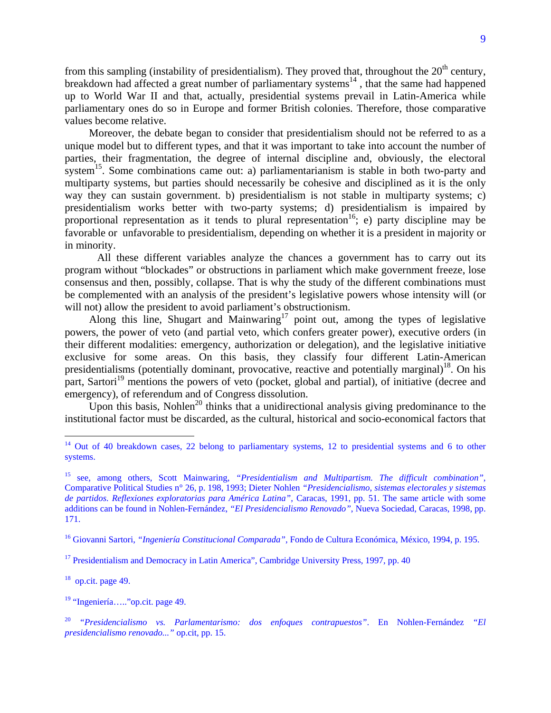from this sampling (instability of presidentialism). They proved that, throughout the  $20<sup>th</sup>$  century, breakdown had affected a great number of parliamentary systems $^{14}$ , that the same had happened up to World War II and that, actually, presidential systems prevail in Latin-America while parliamentary ones do so in Europe and former British colonies. Therefore, those comparative values become relative.

Moreover, the debate began to consider that presidentialism should not be referred to as a unique model but to different types, and that it was important to take into account the number of parties, their fragmentation, the degree of internal discipline and, obviously, the electoral system<sup>15</sup>. Some combinations came out: a) parliamentarianism is stable in both two-party and multiparty systems, but parties should necessarily be cohesive and disciplined as it is the only way they can sustain government. b) presidentialism is not stable in multiparty systems; c) presidentialism works better with two-party systems; d) presidentialism is impaired by proportional representation as it tends to plural representation<sup>16</sup>; e) party discipline may be favorable or unfavorable to presidentialism, depending on whether it is a president in majority or in minority.

All these different variables analyze the chances a government has to carry out its program without "blockades" or obstructions in parliament which make government freeze, lose consensus and then, possibly, collapse. That is why the study of the different combinations must be complemented with an analysis of the president's legislative powers whose intensity will (or will not) allow the president to avoid parliament's obstructionism.

Along this line, Shugart and Mainwaring<sup>17</sup> point out, among the types of legislative powers, the power of veto (and partial veto, which confers greater power), executive orders (in their different modalities: emergency, authorization or delegation), and the legislative initiative exclusive for some areas. On this basis, they classify four different Latin-American presidentialisms (potentially dominant, provocative, reactive and potentially marginal) $^{18}$ . On his part, Sartori<sup>19</sup> mentions the powers of veto (pocket, global and partial), of initiative (decree and emergency), of referendum and of Congress dissolution.

Upon this basis, Nohlen<sup>20</sup> thinks that a unidirectional analysis giving predominance to the institutional factor must be discarded, as the cultural, historical and socio-economical factors that

16 Giovanni Sartori, *"Ingeniería Constitucional Comparada"*, Fondo de Cultura Económica, México, 1994, p. 195.

<sup>17</sup> Presidentialism and Democracy in Latin America", Cambridge University Press, 1997, pp. 40

 $18$  op.cit. page 49.

 $\overline{a}$ 

 $19$  "Ingeniería....." op.cit. page 49.

 $14$  Out of 40 breakdown cases, 22 belong to parliamentary systems, 12 to presidential systems and 6 to other systems.

<sup>15</sup> see, among others, Scott Mainwaring, *"Presidentialism and Multipartism. The difficult combination"*, Comparative Political Studies n° 26, p. 198, 1993; Dieter Nohlen *"Presidencialismo, sistemas electorales y sistemas de partidos. Reflexiones exploratorias para América Latina"*, Caracas, 1991, pp. 51. The same article with some additions can be found in Nohlen-Fernández, *"El Presidencialismo Renovado"*, Nueva Sociedad, Caracas, 1998, pp. 171.

<sup>20</sup> *"Presidencialismo vs. Parlamentarismo: dos enfoques contrapuestos"*. En Nohlen-Fernández *"El presidencialismo renovado..."* op.cit, pp. 15.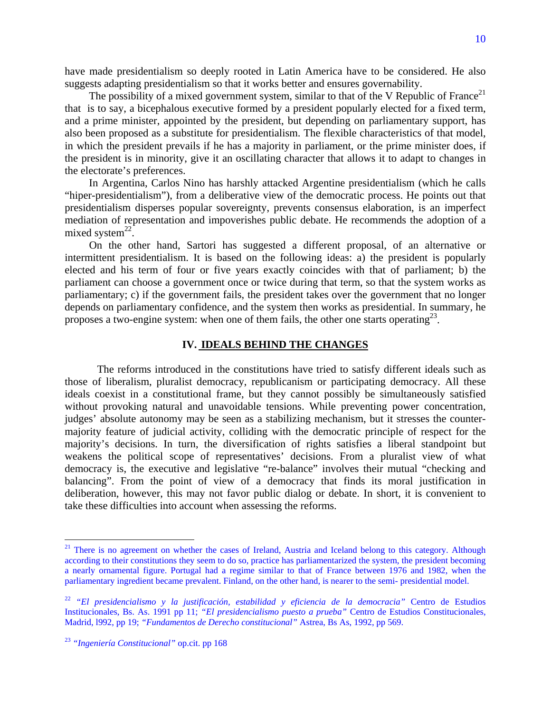have made presidentialism so deeply rooted in Latin America have to be considered. He also suggests adapting presidentialism so that it works better and ensures governability.

The possibility of a mixed government system, similar to that of the V Republic of France<sup>21</sup> that is to say, a bicephalous executive formed by a president popularly elected for a fixed term, and a prime minister, appointed by the president, but depending on parliamentary support, has also been proposed as a substitute for presidentialism. The flexible characteristics of that model, in which the president prevails if he has a majority in parliament, or the prime minister does, if the president is in minority, give it an oscillating character that allows it to adapt to changes in the electorate's preferences.

In Argentina, Carlos Nino has harshly attacked Argentine presidentialism (which he calls "hiper-presidentialism"), from a deliberative view of the democratic process. He points out that presidentialism disperses popular sovereignty, prevents consensus elaboration, is an imperfect mediation of representation and impoverishes public debate. He recommends the adoption of a mixed system $^{22}$ .

On the other hand, Sartori has suggested a different proposal, of an alternative or intermittent presidentialism. It is based on the following ideas: a) the president is popularly elected and his term of four or five years exactly coincides with that of parliament; b) the parliament can choose a government once or twice during that term, so that the system works as parliamentary; c) if the government fails, the president takes over the government that no longer depends on parliamentary confidence, and the system then works as presidential. In summary, he proposes a two-engine system: when one of them fails, the other one starts operating  $23$ .

#### **IV. IDEALS BEHIND THE CHANGES**

The reforms introduced in the constitutions have tried to satisfy different ideals such as those of liberalism, pluralist democracy, republicanism or participating democracy. All these ideals coexist in a constitutional frame, but they cannot possibly be simultaneously satisfied without provoking natural and unavoidable tensions. While preventing power concentration, judges' absolute autonomy may be seen as a stabilizing mechanism, but it stresses the countermajority feature of judicial activity, colliding with the democratic principle of respect for the majority's decisions. In turn, the diversification of rights satisfies a liberal standpoint but weakens the political scope of representatives' decisions. From a pluralist view of what democracy is, the executive and legislative "re-balance" involves their mutual "checking and balancing". From the point of view of a democracy that finds its moral justification in deliberation, however, this may not favor public dialog or debate. In short, it is convenient to take these difficulties into account when assessing the reforms.

<sup>&</sup>lt;sup>21</sup> There is no agreement on whether the cases of Ireland, Austria and Iceland belong to this category. Although according to their constitutions they seem to do so, practice has parliamentarized the system, the president becoming a nearly ornamental figure. Portugal had a regime similar to that of France between 1976 and 1982, when the parliamentary ingredient became prevalent. Finland, on the other hand, is nearer to the semi- presidential model.

<sup>22</sup> *"El presidencialismo y la justificación, estabilidad y eficiencia de la democracia"* Centro de Estudios Institucionales, Bs. As. 1991 pp 11; *"El presidencialismo puesto a prueba"* Centro de Estudios Constitucionales, Madrid, l992, pp 19; *"Fundamentos de Derecho constitucional"* Astrea, Bs As, 1992, pp 569.

<sup>23</sup> *"Ingeniería Constitucional"* op.cit. pp 168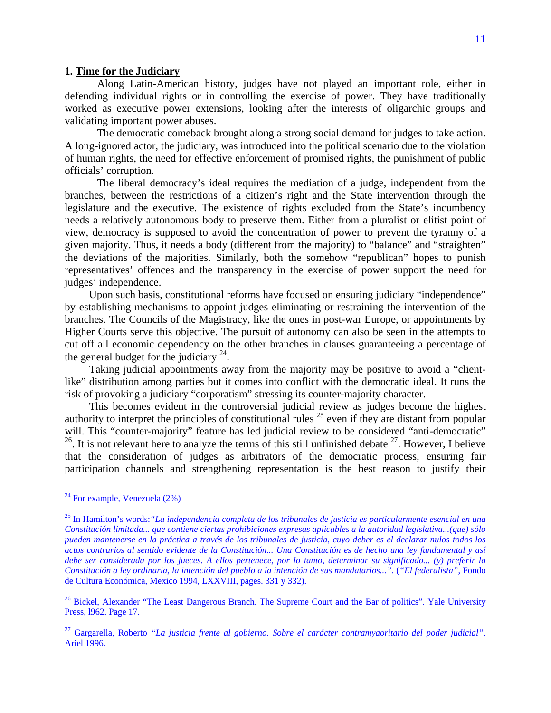#### **1. Time for the Judiciary**

Along Latin-American history, judges have not played an important role, either in defending individual rights or in controlling the exercise of power. They have traditionally worked as executive power extensions, looking after the interests of oligarchic groups and validating important power abuses.

The democratic comeback brought along a strong social demand for judges to take action. A long-ignored actor, the judiciary, was introduced into the political scenario due to the violation of human rights, the need for effective enforcement of promised rights, the punishment of public officials' corruption.

The liberal democracy's ideal requires the mediation of a judge, independent from the branches, between the restrictions of a citizen's right and the State intervention through the legislature and the executive. The existence of rights excluded from the State's incumbency needs a relatively autonomous body to preserve them. Either from a pluralist or elitist point of view, democracy is supposed to avoid the concentration of power to prevent the tyranny of a given majority. Thus, it needs a body (different from the majority) to "balance" and "straighten" the deviations of the majorities. Similarly, both the somehow "republican" hopes to punish representatives' offences and the transparency in the exercise of power support the need for judges' independence.

Upon such basis, constitutional reforms have focused on ensuring judiciary "independence" by establishing mechanisms to appoint judges eliminating or restraining the intervention of the branches. The Councils of the Magistracy, like the ones in post-war Europe, or appointments by Higher Courts serve this objective. The pursuit of autonomy can also be seen in the attempts to cut off all economic dependency on the other branches in clauses guaranteeing a percentage of the general budget for the judiciary  $24$ .

Taking judicial appointments away from the majority may be positive to avoid a "clientlike" distribution among parties but it comes into conflict with the democratic ideal. It runs the risk of provoking a judiciary "corporatism" stressing its counter-majority character.

This becomes evident in the controversial judicial review as judges become the highest authority to interpret the principles of constitutional rules  $25$  even if they are distant from popular will. This "counter-majority" feature has led judicial review to be considered "anti-democratic" <sup>26</sup>. It is not relevant here to analyze the terms of this still unfinished debate  $27$ . However, I believe that the consideration of judges as arbitrators of the democratic process, ensuring fair participation channels and strengthening representation is the best reason to justify their

 $24$  For example, Venezuela  $(2%)$ 

<sup>25</sup> In Hamilton's words:*"La independencia completa de los tribunales de justicia es particularmente esencial en una Constitución limitada... que contiene ciertas prohibiciones expresas aplicables a la autoridad legislativa...(que) sólo pueden mantenerse en la práctica a través de los tribunales de justicia, cuyo deber es el declarar nulos todos los actos contrarios al sentido evidente de la Constitución... Una Constitución es de hecho una ley fundamental y así debe ser considerada por los jueces. A ellos pertenece, por lo tanto, determinar su significado... (y) preferir la Constitución a ley ordinaria, la intención del pueblo a la intención de sus mandatarios..."*. (*"El federalista"*, Fondo de Cultura Económica, Mexico 1994, LXXVIII, pages. 331 y 332).

<sup>&</sup>lt;sup>26</sup> Bickel, Alexander "The Least Dangerous Branch. The Supreme Court and the Bar of politics". Yale University Press, l962. Page 17.

<sup>27</sup> Gargarella, Roberto *"La justicia frente al gobierno. Sobre el carácter contramyaoritario del poder judicial",*  Ariel 1996.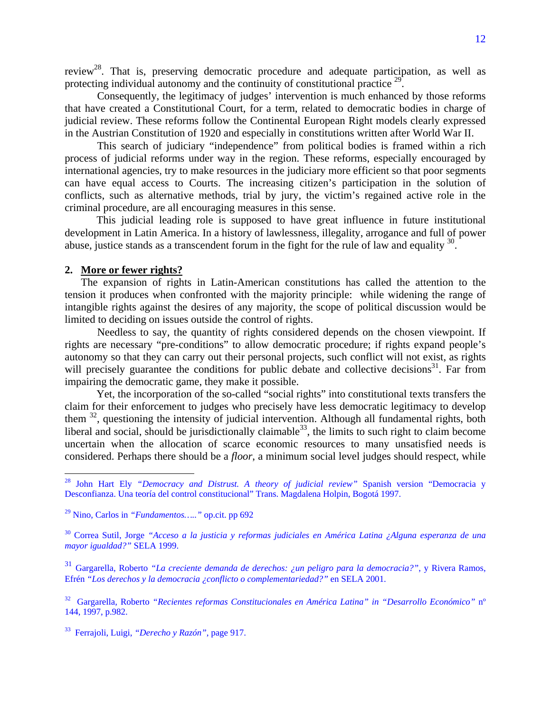review<sup>28</sup>. That is, preserving democratic procedure and adequate participation, as well as protecting individual autonomy and the continuity of constitutional practice  $29$ .

Consequently, the legitimacy of judges' intervention is much enhanced by those reforms that have created a Constitutional Court, for a term, related to democratic bodies in charge of judicial review. These reforms follow the Continental European Right models clearly expressed in the Austrian Constitution of 1920 and especially in constitutions written after World War II.

This search of judiciary "independence" from political bodies is framed within a rich process of judicial reforms under way in the region. These reforms, especially encouraged by international agencies, try to make resources in the judiciary more efficient so that poor segments can have equal access to Courts. The increasing citizen's participation in the solution of conflicts, such as alternative methods, trial by jury, the victim's regained active role in the criminal procedure, are all encouraging measures in this sense.

 This judicial leading role is supposed to have great influence in future institutional development in Latin America. In a history of lawlessness, illegality, arrogance and full of power abuse, justice stands as a transcendent forum in the fight for the rule of law and equality  $30$ .

### **2. More or fewer rights?**

 $\overline{a}$ 

The expansion of rights in Latin-American constitutions has called the attention to the tension it produces when confronted with the majority principle: while widening the range of intangible rights against the desires of any majority, the scope of political discussion would be limited to deciding on issues outside the control of rights.

Needless to say, the quantity of rights considered depends on the chosen viewpoint. If rights are necessary "pre-conditions" to allow democratic procedure; if rights expand people's autonomy so that they can carry out their personal projects, such conflict will not exist, as rights will precisely guarantee the conditions for public debate and collective decisions<sup>31</sup>. Far from impairing the democratic game, they make it possible.

 Yet, the incorporation of the so-called "social rights" into constitutional texts transfers the claim for their enforcement to judges who precisely have less democratic legitimacy to develop them <sup>32</sup>, questioning the intensity of judicial intervention. Although all fundamental rights, both liberal and social, should be jurisdictionally claimable<sup>33</sup>, the limits to such right to claim become uncertain when the allocation of scarce economic resources to many unsatisfied needs is considered. Perhaps there should be a *floor*, a minimum social level judges should respect, while

<sup>28</sup> John Hart Ely *"Democracy and Distrust. A theory of judicial review"* Spanish version "Democracia y Desconfianza. Una teoría del control constitucional" Trans. Magdalena Holpin, Bogotá 1997.

<sup>29</sup> Nino, Carlos in *"Fundamentos….."* op.cit. pp 692

<sup>30</sup> Correa Sutil, Jorge *"Acceso a la justicia y reformas judiciales en América Latina ¿Alguna esperanza de una mayor igualdad?"* SELA 1999.

<sup>31</sup> Gargarella, Roberto *"La creciente demanda de derechos: ¿un peligro para la democracia?"*, y Rivera Ramos, Efrén *"Los derechos y la democracia ¿conflicto o complementariedad?"* en SELA 2001.

<sup>32</sup> Gargarella, Roberto *"Recientes reformas Constitucionales en América Latina" in "Desarrollo Económico"* nº 144, 1997, p.982.

<sup>33</sup> Ferrajoli, Luigi, *"Derecho y Razón"*, page 917.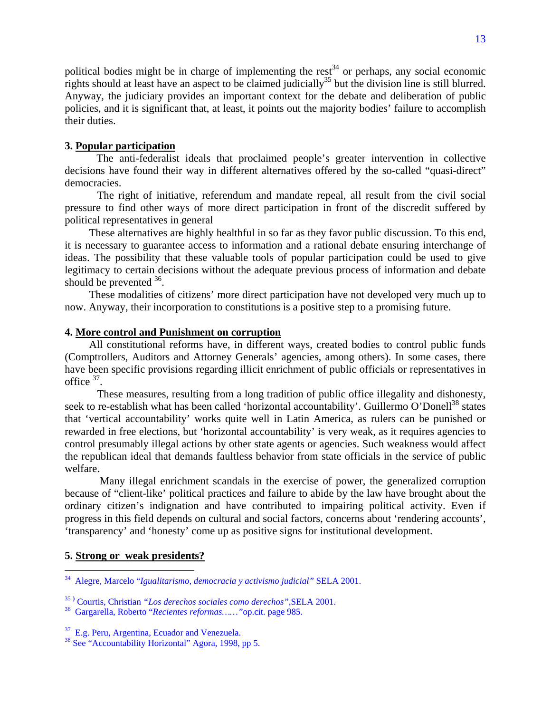political bodies might be in charge of implementing the rest<sup>34</sup> or perhaps, any social economic rights should at least have an aspect to be claimed judicially<sup>35</sup> but the division line is still blurred. Anyway, the judiciary provides an important context for the debate and deliberation of public policies, and it is significant that, at least, it points out the majority bodies' failure to accomplish their duties.

#### **3. Popular participation**

 The anti-federalist ideals that proclaimed people's greater intervention in collective decisions have found their way in different alternatives offered by the so-called "quasi-direct" democracies.

The right of initiative, referendum and mandate repeal, all result from the civil social pressure to find other ways of more direct participation in front of the discredit suffered by political representatives in general

These alternatives are highly healthful in so far as they favor public discussion. To this end, it is necessary to guarantee access to information and a rational debate ensuring interchange of ideas. The possibility that these valuable tools of popular participation could be used to give legitimacy to certain decisions without the adequate previous process of information and debate should be prevented  $36$ .

These modalities of citizens' more direct participation have not developed very much up to now. Anyway, their incorporation to constitutions is a positive step to a promising future.

# **4. More control and Punishment on corruption**

All constitutional reforms have, in different ways, created bodies to control public funds (Comptrollers, Auditors and Attorney Generals' agencies, among others). In some cases, there have been specific provisions regarding illicit enrichment of public officials or representatives in office 37.

These measures, resulting from a long tradition of public office illegality and dishonesty, seek to re-establish what has been called 'horizontal accountability'. Guillermo O'Donell<sup>38</sup> states that 'vertical accountability' works quite well in Latin America, as rulers can be punished or rewarded in free elections, but 'horizontal accountability' is very weak, as it requires agencies to control presumably illegal actions by other state agents or agencies. Such weakness would affect the republican ideal that demands faultless behavior from state officials in the service of public welfare.

 Many illegal enrichment scandals in the exercise of power, the generalized corruption because of "client-like' political practices and failure to abide by the law have brought about the ordinary citizen's indignation and have contributed to impairing political activity. Even if progress in this field depends on cultural and social factors, concerns about 'rendering accounts', 'transparency' and 'honesty' come up as positive signs for institutional development.

### **5. Strong or weak presidents?**

<sup>34</sup> Alegre, Marcelo "*Igualitarismo, democracia y activismo judicial"* SELA 2001.

<sup>&</sup>lt;sup>35)</sup> Courtis, Christian *"Los derechos sociales como derechos"*,SELA 2001.<br><sup>36</sup> Gargarella, Roberto *"Recientes reformas*......" op.cit. page 985.

<sup>&</sup>lt;sup>37</sup> E.g. Peru, Argentina, Ecuador and Venezuela.

<sup>&</sup>lt;sup>38</sup> See "Accountability Horizontal" Agora, 1998, pp 5.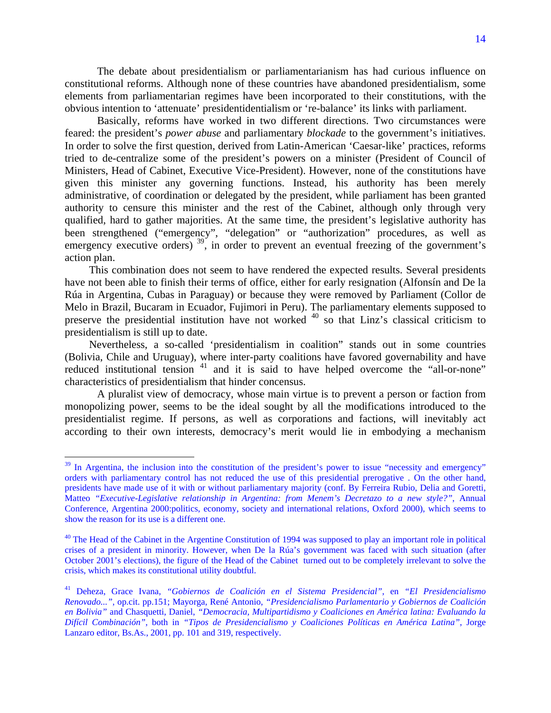The debate about presidentialism or parliamentarianism has had curious influence on constitutional reforms. Although none of these countries have abandoned presidentialism, some elements from parliamentarian regimes have been incorporated to their constitutions, with the obvious intention to 'attenuate' presidentidentialism or 're-balance' its links with parliament.

Basically, reforms have worked in two different directions. Two circumstances were feared: the president's *power abuse* and parliamentary *blockade* to the government's initiatives. In order to solve the first question, derived from Latin-American 'Caesar-like' practices, reforms tried to de-centralize some of the president's powers on a minister (President of Council of Ministers, Head of Cabinet, Executive Vice-President). However, none of the constitutions have given this minister any governing functions. Instead, his authority has been merely administrative, of coordination or delegated by the president, while parliament has been granted authority to censure this minister and the rest of the Cabinet, although only through very qualified, hard to gather majorities. At the same time, the president's legislative authority has been strengthened ("emergency", "delegation" or "authorization" procedures, as well as emergency executive orders)<sup>39</sup>, in order to prevent an eventual freezing of the government's action plan.

This combination does not seem to have rendered the expected results. Several presidents have not been able to finish their terms of office, either for early resignation (Alfonsín and De la Rúa in Argentina, Cubas in Paraguay) or because they were removed by Parliament (Collor de Melo in Brazil, Bucaram in Ecuador, Fujimori in Peru). The parliamentary elements supposed to preserve the presidential institution have not worked <sup>40</sup> so that Linz's classical criticism to presidentialism is still up to date.

Nevertheless, a so-called 'presidentialism in coalition" stands out in some countries (Bolivia, Chile and Uruguay), where inter-party coalitions have favored governability and have reduced institutional tension  $41$  and it is said to have helped overcome the "all-or-none" characteristics of presidentialism that hinder concensus.

A pluralist view of democracy, whose main virtue is to prevent a person or faction from monopolizing power, seems to be the ideal sought by all the modifications introduced to the presidentialist regime. If persons, as well as corporations and factions, will inevitably act according to their own interests, democracy's merit would lie in embodying a mechanism

 $39$  In Argentina, the inclusion into the constitution of the president's power to issue "necessity and emergency" orders with parliamentary control has not reduced the use of this presidential prerogative . On the other hand, presidents have made use of it with or without parliamentary majority (conf. By Ferreira Rubio, Delia and Goretti, Matteo *"Executive-Legislative relationship in Argentina: from Menem's Decretazo to a new style?"*, Annual Conference, Argentina 2000:politics, economy, society and international relations, Oxford 2000), which seems to show the reason for its use is a different one.

<sup>&</sup>lt;sup>40</sup> The Head of the Cabinet in the Argentine Constitution of 1994 was supposed to play an important role in political crises of a president in minority. However, when De la Rúa's government was faced with such situation (after October 2001's elections), the figure of the Head of the Cabinet turned out to be completely irrelevant to solve the crisis, which makes its constitutional utility doubtful.

<sup>41</sup> Deheza, Grace Ivana, *"Gobiernos de Coalición en el Sistema Presidencial"*, en *"El Presidencialismo Renovado..."*, op.cit. pp.151; Mayorga, René Antonio, *"Presidencialismo Parlamentario y Gobiernos de Coalición en Bolivia"* and Chasquetti, Daniel, *"Democracia, Multipartidismo y Coaliciones en América latina: Evaluando la Difícil Combinación"*, both in *"Tipos de Presidencialismo y Coaliciones Políticas en América Latina"*, Jorge Lanzaro editor, Bs.As., 2001, pp. 101 and 319, respectively.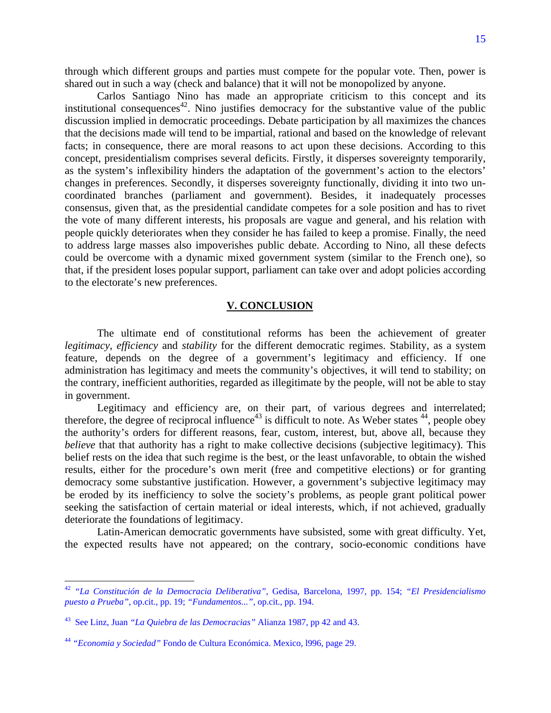through which different groups and parties must compete for the popular vote. Then, power is shared out in such a way (check and balance) that it will not be monopolized by anyone.

Carlos Santiago Nino has made an appropriate criticism to this concept and its institutional consequences<sup>42</sup>. Nino justifies democracy for the substantive value of the public discussion implied in democratic proceedings. Debate participation by all maximizes the chances that the decisions made will tend to be impartial, rational and based on the knowledge of relevant facts; in consequence, there are moral reasons to act upon these decisions. According to this concept, presidentialism comprises several deficits. Firstly, it disperses sovereignty temporarily, as the system's inflexibility hinders the adaptation of the government's action to the electors' changes in preferences. Secondly, it disperses sovereignty functionally, dividing it into two uncoordinated branches (parliament and government). Besides, it inadequately processes consensus, given that, as the presidential candidate competes for a sole position and has to rivet the vote of many different interests, his proposals are vague and general, and his relation with people quickly deteriorates when they consider he has failed to keep a promise. Finally, the need to address large masses also impoverishes public debate. According to Nino, all these defects could be overcome with a dynamic mixed government system (similar to the French one), so that, if the president loses popular support, parliament can take over and adopt policies according to the electorate's new preferences.

### **V. CONCLUSION**

The ultimate end of constitutional reforms has been the achievement of greater *legitimacy*, *efficiency* and *stability* for the different democratic regimes. Stability, as a system feature, depends on the degree of a government's legitimacy and efficiency. If one administration has legitimacy and meets the community's objectives, it will tend to stability; on the contrary, inefficient authorities, regarded as illegitimate by the people, will not be able to stay in government.

Legitimacy and efficiency are, on their part, of various degrees and interrelated; therefore, the degree of reciprocal influence<sup>43</sup> is difficult to note. As Weber states  $44$ , people obey the authority's orders for different reasons, fear, custom, interest, but, above all, because they *believe* that that authority has a right to make collective decisions (subjective legitimacy). This belief rests on the idea that such regime is the best, or the least unfavorable, to obtain the wished results, either for the procedure's own merit (free and competitive elections) or for granting democracy some substantive justification. However, a government's subjective legitimacy may be eroded by its inefficiency to solve the society's problems, as people grant political power seeking the satisfaction of certain material or ideal interests, which, if not achieved, gradually deteriorate the foundations of legitimacy.

Latin-American democratic governments have subsisted, some with great difficulty. Yet, the expected results have not appeared; on the contrary, socio-economic conditions have

<u>.</u>

<sup>42</sup> *"La Constitución de la Democracia Deliberativa"*, Gedisa, Barcelona, 1997, pp. 154; *"El Presidencialismo puesto a Prueba"*, op.cit., pp. 19; *"Fundamentos..."*, op.cit., pp. 194.

<sup>43</sup> See Linz, Juan *"La Quiebra de las Democracias"* Alianza 1987, pp 42 and 43.

<sup>44</sup> *"Economia y Sociedad"* Fondo de Cultura Económica. Mexico, l996, page 29.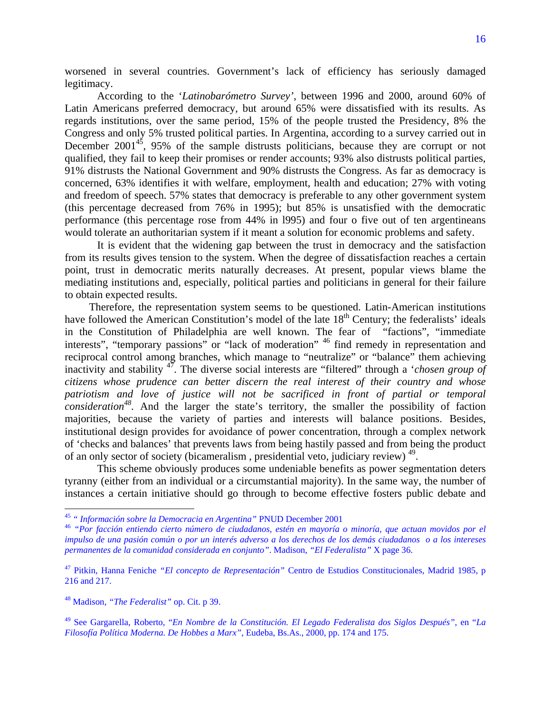worsened in several countries. Government's lack of efficiency has seriously damaged legitimacy.

According to the '*Latinobarómetro Survey'*, between 1996 and 2000, around 60% of Latin Americans preferred democracy, but around 65% were dissatisfied with its results. As regards institutions, over the same period, 15% of the people trusted the Presidency, 8% the Congress and only 5% trusted political parties. In Argentina, according to a survey carried out in December  $2001^{45}$ , 95% of the sample distrusts politicians, because they are corrupt or not qualified, they fail to keep their promises or render accounts; 93% also distrusts political parties, 91% distrusts the National Government and 90% distrusts the Congress. As far as democracy is concerned, 63% identifies it with welfare, employment, health and education; 27% with voting and freedom of speech. 57% states that democracy is preferable to any other government system (this percentage decreased from 76% in 1995); but 85% is unsatisfied with the democratic performance (this percentage rose from 44% in l995) and four o five out of ten argentineans would tolerate an authoritarian system if it meant a solution for economic problems and safety.

It is evident that the widening gap between the trust in democracy and the satisfaction from its results gives tension to the system. When the degree of dissatisfaction reaches a certain point, trust in democratic merits naturally decreases. At present, popular views blame the mediating institutions and, especially, political parties and politicians in general for their failure to obtain expected results.

Therefore, the representation system seems to be questioned. Latin-American institutions have followed the American Constitution's model of the late 18<sup>th</sup> Century; the federalists' ideals in the Constitution of Philadelphia are well known. The fear of "factions", "immediate interests", "temporary passions" or "lack of moderation" <sup>46</sup> find remedy in representation and reciprocal control among branches, which manage to "neutralize" or "balance" them achieving inactivity and stability 47. The diverse social interests are "filtered" through a '*chosen group of citizens whose prudence can better discern the real interest of their country and whose*  patriotism and love of justice will not be sacrificed in front of partial or temporal *consideration<sup>48</sup>*. And the larger the state's territory, the smaller the possibility of faction majorities, because the variety of parties and interests will balance positions. Besides, institutional design provides for avoidance of power concentration, through a complex network of 'checks and balances' that prevents laws from being hastily passed and from being the product of an only sector of society (bicameralism , presidential veto, judiciary review) 49.

This scheme obviously produces some undeniable benefits as power segmentation deters tyranny (either from an individual or a circumstantial majority). In the same way, the number of instances a certain initiative should go through to become effective fosters public debate and

<sup>&</sup>lt;sup>45</sup> " Información sobre la Democracia en Argentina" PNUD December 2001<br><sup>46</sup> "Por facción entiendo cierto número de ciudadanos, estén en mayoría o minoría, que actuan movidos por el *impulso de una pasión común o por un interés adverso a los derechos de los demás ciudadanos o a los intereses permanentes de la comunidad considerada en conjunto"*. Madison, *"El Federalista"* X page 36.

<sup>47</sup> Pitkin, Hanna Feniche *"El concepto de Representación"* Centro de Estudios Constitucionales, Madrid 1985, p 216 and 217.

<sup>48</sup> Madison, *"The Federalist"* op. Cit. p 39.

<sup>49</sup> See Gargarella, Roberto, "*En Nombre de la Constitución. El Legado Federalista dos Siglos Después"*, en "*La Filosofía Política Moderna. De Hobbes a Marx"*, Eudeba, Bs.As., 2000, pp. 174 and 175.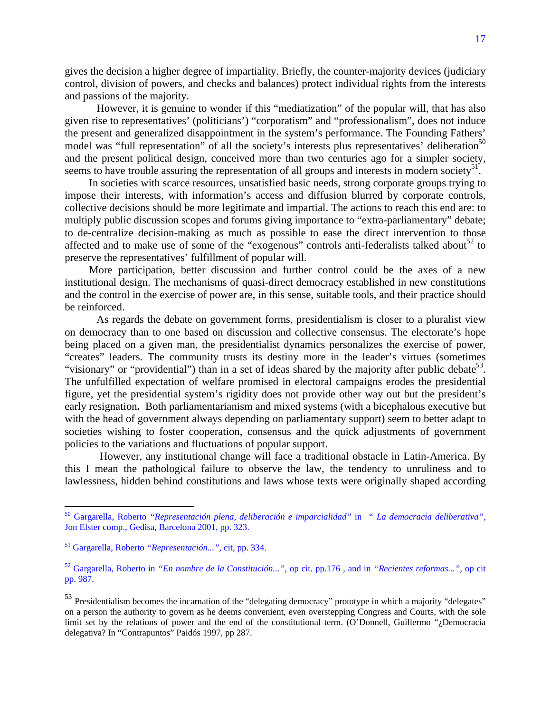gives the decision a higher degree of impartiality. Briefly, the counter-majority devices (judiciary control, division of powers, and checks and balances) protect individual rights from the interests and passions of the majority.

 However, it is genuine to wonder if this "mediatization" of the popular will, that has also given rise to representatives' (politicians') "corporatism" and "professionalism", does not induce the present and generalized disappointment in the system's performance. The Founding Fathers' model was "full representation" of all the society's interests plus representatives' deliberation<sup>50</sup> and the present political design, conceived more than two centuries ago for a simpler society, seems to have trouble assuring the representation of all groups and interests in modern society<sup>51</sup>.

In societies with scarce resources, unsatisfied basic needs, strong corporate groups trying to impose their interests, with information's access and diffusion blurred by corporate controls, collective decisions should be more legitimate and impartial. The actions to reach this end are: to multiply public discussion scopes and forums giving importance to "extra-parliamentary" debate; to de-centralize decision-making as much as possible to ease the direct intervention to those affected and to make use of some of the "exogenous" controls anti-federalists talked about  $52$  to preserve the representatives' fulfillment of popular will.

More participation, better discussion and further control could be the axes of a new institutional design. The mechanisms of quasi-direct democracy established in new constitutions and the control in the exercise of power are, in this sense, suitable tools, and their practice should be reinforced.

 As regards the debate on government forms, presidentialism is closer to a pluralist view on democracy than to one based on discussion and collective consensus. The electorate's hope being placed on a given man, the presidentialist dynamics personalizes the exercise of power, "creates" leaders. The community trusts its destiny more in the leader's virtues (sometimes "visionary" or "providential") than in a set of ideas shared by the majority after public debate<sup>53</sup>. The unfulfilled expectation of welfare promised in electoral campaigns erodes the presidential figure, yet the presidential system's rigidity does not provide other way out but the president's early resignation**.** Both parliamentarianism and mixed systems (with a bicephalous executive but with the head of government always depending on parliamentary support) seem to better adapt to societies wishing to foster cooperation, consensus and the quick adjustments of government policies to the variations and fluctuations of popular support.

 However, any institutional change will face a traditional obstacle in Latin-America. By this I mean the pathological failure to observe the law, the tendency to unruliness and to lawlessness, hidden behind constitutions and laws whose texts were originally shaped according

1

<sup>50</sup> Gargarella, Roberto *"Representación plena, deliberación e imparcialidad"* in *" La democracia deliberativa"*, Jon Elster comp., Gedisa, Barcelona 2001, pp. 323.

<sup>51</sup> Gargarella, Roberto *"Representación..."*, cit, pp. 334.

<sup>52</sup> Gargarella, Roberto in *"En nombre de la Constitución...",* op cit. pp.176 , and in *"Recientes reformas...",* op cit pp. 987.

<sup>&</sup>lt;sup>53</sup> Presidentialism becomes the incarnation of the "delegating democracy" prototype in which a majority "delegates" on a person the authority to govern as he deems convenient, even overstepping Congress and Courts, with the sole limit set by the relations of power and the end of the constitutional term. (O'Donnell, Guillermo "¿Democracia delegativa? In "Contrapuntos" Paidós 1997, pp 287.